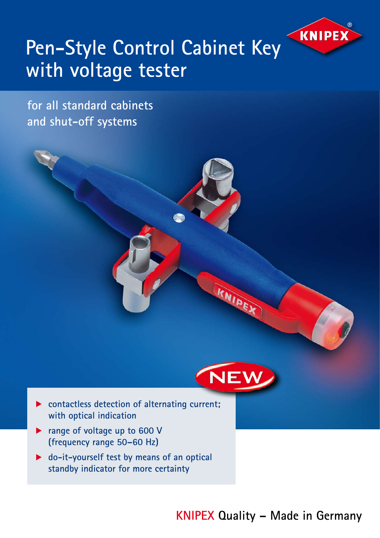

## **Pen-Style Control Cabinet Key with voltage tester**

**for all standard cabinets and shut-off systems**



KNIDEX

- ▶ contactless detection of alternating current;  **with optical indication**
- **P** range of voltage up to 600 V  **(frequency range 50–60 Hz)**
- ▶ do-it-yourself test by means of an optical **standby indicator for more certainty**

**KNIPEX Quality – Made in Germany**